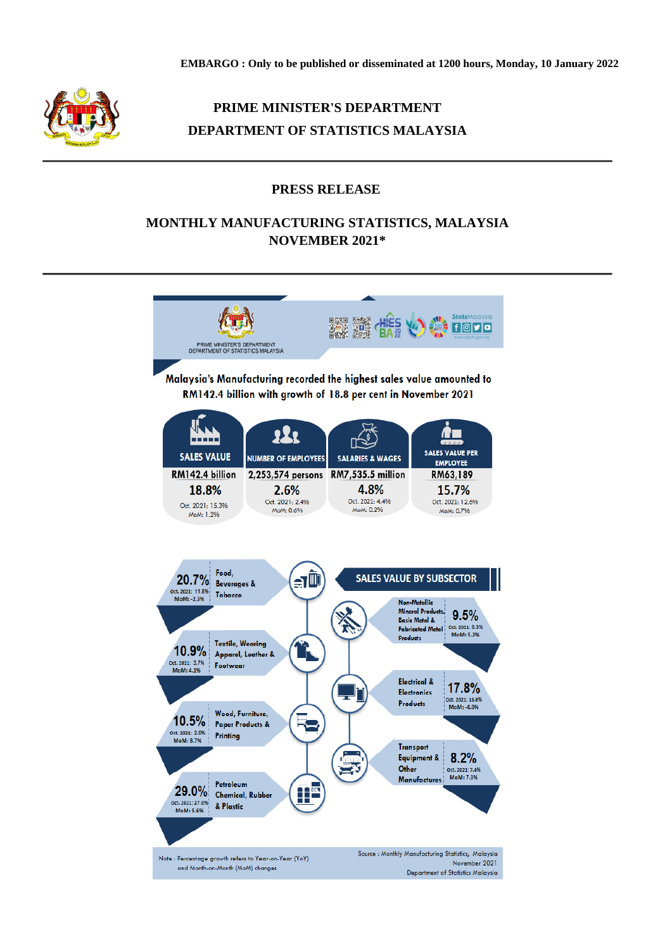

# **PRIME MINISTER'S DEPARTMENT DEPARTMENT OF STATISTICS MALAYSIA**

### **PRESS RELEASE**

## **MONTHLY MANUFACTURING STATISTICS, MALAYSIA NOVEMBER 2021\***